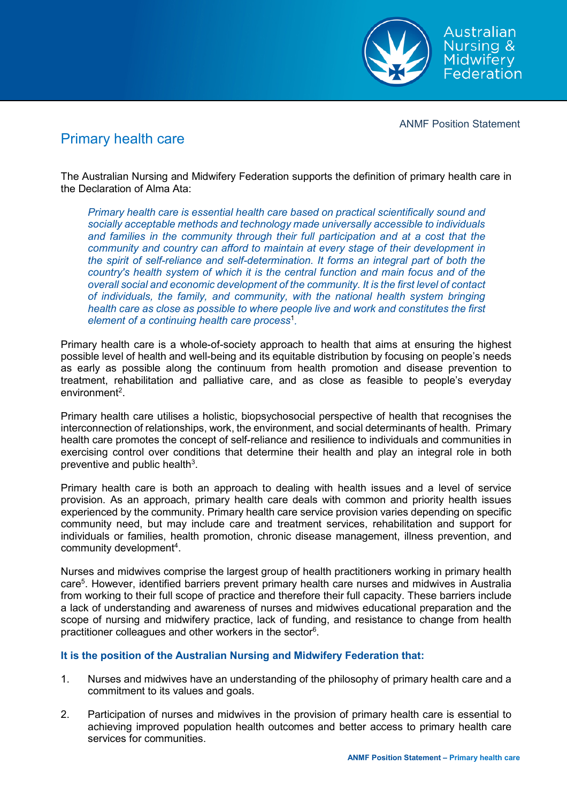

ANMF Position Statement

## Primary health care

The Australian Nursing and Midwifery Federation supports the definition of primary health care in the Declaration of Alma Ata:

*Primary health care is essential health care based on practical scientifically sound and socially acceptable methods and technology made universally accessible to individuals and families in the community through their full participation and at a cost that the community and country can afford to maintain at every stage of their development in the spirit of self-reliance and self-determination. It forms an integral part of both the country's health system of which it is the central function and main focus and of the overall social and economic development of the community. It is the first level of contact of individuals, the family, and community, with the national health system bringing health care as close as possible to where people live and work and constitutes the first element of a continuing health care process*<sup>1</sup> *.*

Primary health care is a whole-of-society approach to health that aims at ensuring the highest possible level of health and well-being and its equitable distribution by focusing on people's needs as early as possible along the continuum from health promotion and disease prevention to treatment, rehabilitation and palliative care, and as close as feasible to people's everyday environment<sup>2</sup>.

Primary health care utilises a holistic, biopsychosocial perspective of health that recognises the interconnection of relationships, work, the environment, and social determinants of health. Primary health care promotes the concept of self-reliance and resilience to individuals and communities in exercising control over conditions that determine their health and play an integral role in both preventive and public health $^3$ .

Primary health care is both an approach to dealing with health issues and a level of service provision. As an approach, primary health care deals with common and priority health issues experienced by the community. Primary health care service provision varies depending on specific community need, but may include care and treatment services, rehabilitation and support for individuals or families, health promotion, chronic disease management, illness prevention, and  $\,$  community development $\,4.$ 

Nurses and midwives comprise the largest group of health practitioners working in primary health care<sup>5</sup>. However, identified barriers prevent primary health care nurses and midwives in Australia from working to their full scope of practice and therefore their full capacity. These barriers include a lack of understanding and awareness of nurses and midwives educational preparation and the scope of nursing and midwifery practice, lack of funding, and resistance to change from health practitioner colleagues and other workers in the sector $\rm ^{6}$ .

## **It is the position of the Australian Nursing and Midwifery Federation that:**

- 1. Nurses and midwives have an understanding of the philosophy of primary health care and a commitment to its values and goals.
- 2. Participation of nurses and midwives in the provision of primary health care is essential to achieving improved population health outcomes and better access to primary health care services for communities.